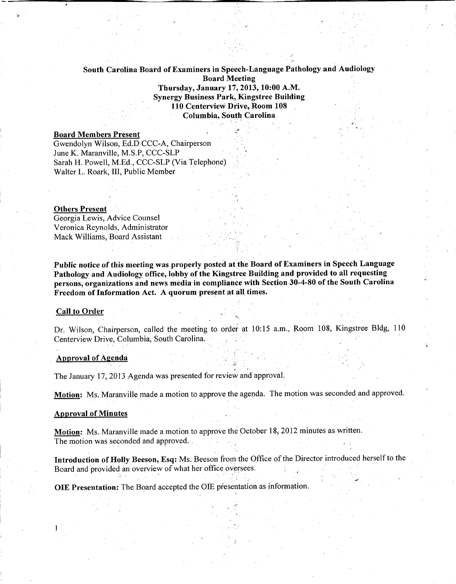# South Carolina Board of Examinersin Speech-Language Pathology and Audiology Board Meeting Thursday, January 17,2013,10:00 A.M. Synergy Business Park, Kingstree Building 110 Centerview Drive, Room 108 Columbia, South Carolina

# Board Members Present

Gwendolyn Wilson, Ed.D CCC-A, Chairperson June K. Maranville, M.S.P, CCC-SLP Sarah H. Powell, M.Ed., CCC-SLP (Via Telephone) Walter L. Roark, III, Public Member

#### Others Present

,.

Georgia Lewis, Advice Counsel Veronica Reynolds, Administrator Mack Williams, Board Assistant

Public notice of this meeting was properly posted at the Board of Examiners in Speech Language Pathology and Audiology office, lobby of the Kingstree Building and provided to all requesting persons, organizations and news media- in compliance with Section 30-4-80 of the South Carolina Freedom of Information Act. A quorum present at all times.

#### Call to Order

Dr. Wilson, Chairperson, called the meeting to order at 10:15 a.m., Room 108, Kingstree Bldg, 110 Centerview Drive, Columbia, South Carolina.

## Approval of Agenda

The January 17,2013 Agenda was presented for review and approval.

Motion: Ms. Maranville made a motion to approve the agenda. The motion was seconded and approved.

-,-

#### Approval of Minutes

Motion: Ms. Maranville made a motion to approve the October 18, 2012 minutes as written. The motion was seconded and approved...

Introduction of Holly Beeson, Esq: Ms. Beeson from the Office of the Director introduced herself to the Board and provided an overview of what her office oversees.

OlE Presentation: The Board accepted the OIE presentation as information.

<, .-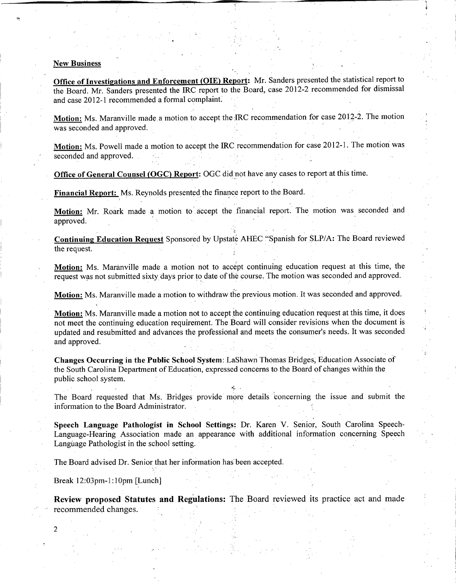#### **New Business**

**Office of Investigations and Enforcement (OlE) Report:** Mr. Sanders presented the statistical report to the Board. Mr. Sanders presented the IRC report to the Board, case 2012-2 recommended for dismissal and case 2012-1 recommended a formal complaint.

'I

Motion: Ms. Maranville made a motion to accept the IRC recommendation for case 2012-2. The motion was seconded and approved.

Motion: Ms. Powell made a motion to accept the IRC recommendation for case 2012-1. The motion was seconded and approved.

**Office of General Counsel (OGC) Report:** OGC did not have any cases to report at this time.

**--------------------------------------------------;;-,,--**<sup>~</sup>

Financial Report: Ms. Reynolds presented the finance report to the Board.

**Motion:** Mr. Roark made a motion to accept the financial report. The motion was seconded and approved.

**Continuing Education Request** Sponsored by Upstate AHEC "Spanish for SLP/A: The Board reviewed the request.

Motion: Ms. Maranville made a motion not to accept continuing education request at this time, the request was not submitted sixty days prior to date of the course. The motion was seconded and approved.

**Motion:** Ms. Maranville madea motion to withdraw the previous motion. It was seconded and approved.

**Motion:** Ms. Maranville made a motion not to accept the continuing education request at this time, it does not meet the continuing education requirement. The Board will consider revisions when the document is updated and resubmitted and advances the professional and meets the consumer's needs. It was seconded and approved.

**Changes Occurring in the Public** School System: LaShawn Thomas Bridges, Education Associate of the South Carolina Department of Education, expressed concerns to the Board of changes within the public school system.

The Board requested that Ms. Bridges provide more details concerning the Issue and submit the information to the Board Administrator.

**Speech Language Pathologist in School Settings:** Dr. Karen V. Senior, South Carolina Speech-Language-Hearing Association made an appearance with additional information concerning Speech Language Pathologist in the school setting.

The Board advised Dr. Senior that her information has been accepted.

Break 12:03pm-1:10pm [Lunch]

2

**Review proposed Statutes and Regulations:** The Board reviewed its practice act and made recommended changes.